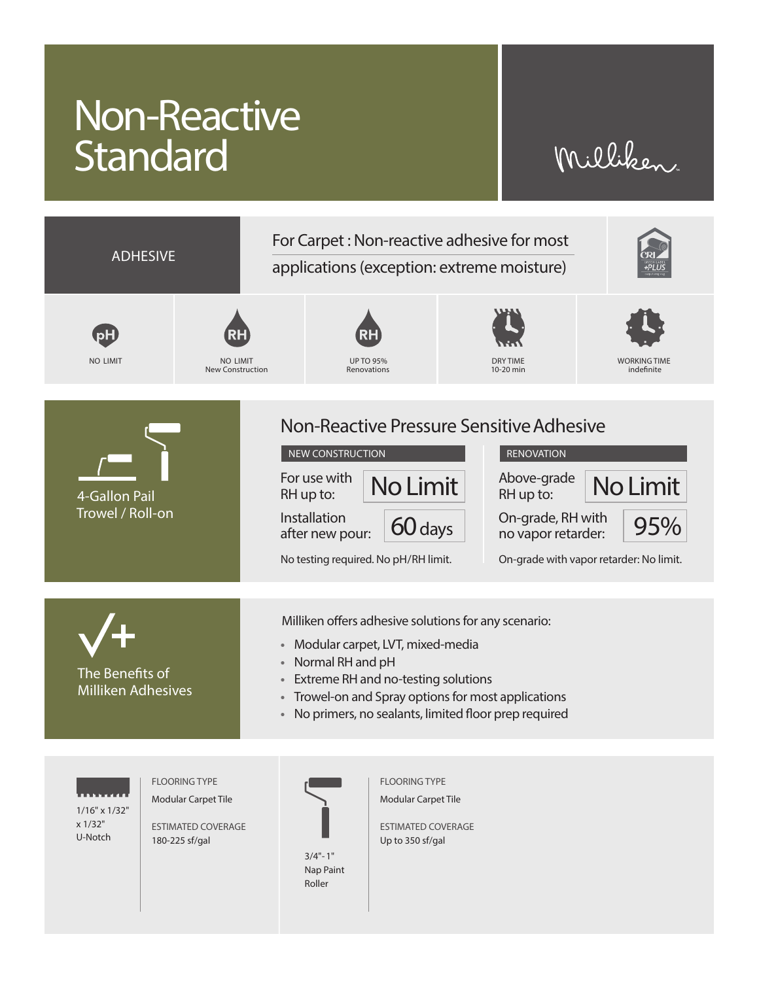## Non-Reactive **Standard**

## Milliken